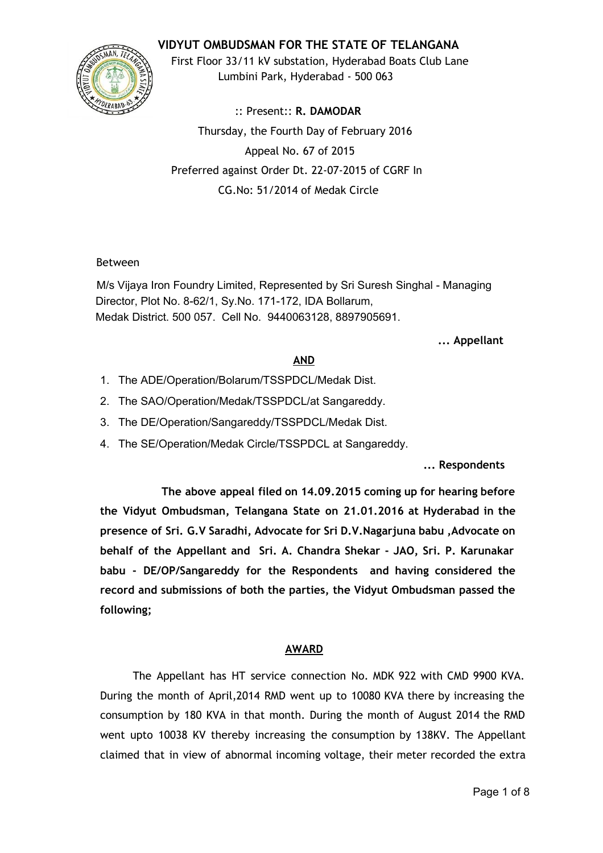## **VIDYUT OMBUDSMAN FOR THE STATE OF TELANGANA**



First Floor 33/11 kV substation, Hyderabad Boats Club Lane Lumbini Park, Hyderabad ‐ 500 063

:: Present:: **R. DAMODAR** Thursday, the Fourth Day of February 2016 Appeal No. 67 of 2015 Preferred against Order Dt. 22‐07‐2015 of CGRF In CG.No: 51/2014 of Medak Circle

## Between

M/s Vijaya Iron Foundry Limited, Represented by Sri Suresh Singhal - Managing Director, Plot No. 8-62/1, Sy.No. 171-172, IDA Bollarum, Medak District. 500 057. Cell No. 9440063128, 8897905691.

## **... Appellant**

# **AND**

- 1. The ADE/Operation/Bolarum/TSSPDCL/Medak Dist.
- 2. The SAO/Operation/Medak/TSSPDCL/at Sangareddy.
- 3. The DE/Operation/Sangareddy/TSSPDCL/Medak Dist.
- 4. The SE/Operation/Medak Circle/TSSPDCL at Sangareddy.

**... Respondents**

**The above appeal filed on 14.09.2015 coming up for hearing before the Vidyut Ombudsman, Telangana State on 21.01.2016 at Hyderabad in the presence of Sri. G.V Saradhi, Advocate for Sri D.V.Nagarjuna babu ,Advocate on behalf of the Appellant and Sri. A. Chandra Shekar ‐ JAO, Sri. P. Karunakar babu ‐ DE/OP/Sangareddy for the Respondents and having considered the record and submissions of both the parties, the Vidyut Ombudsman passed the following;**

# **AWARD**

The Appellant has HT service connection No. MDK 922 with CMD 9900 KVA. During the month of April,2014 RMD went up to 10080 KVA there by increasing the consumption by 180 KVA in that month. During the month of August 2014 the RMD went upto 10038 KV thereby increasing the consumption by 138KV. The Appellant claimed that in view of abnormal incoming voltage, their meter recorded the extra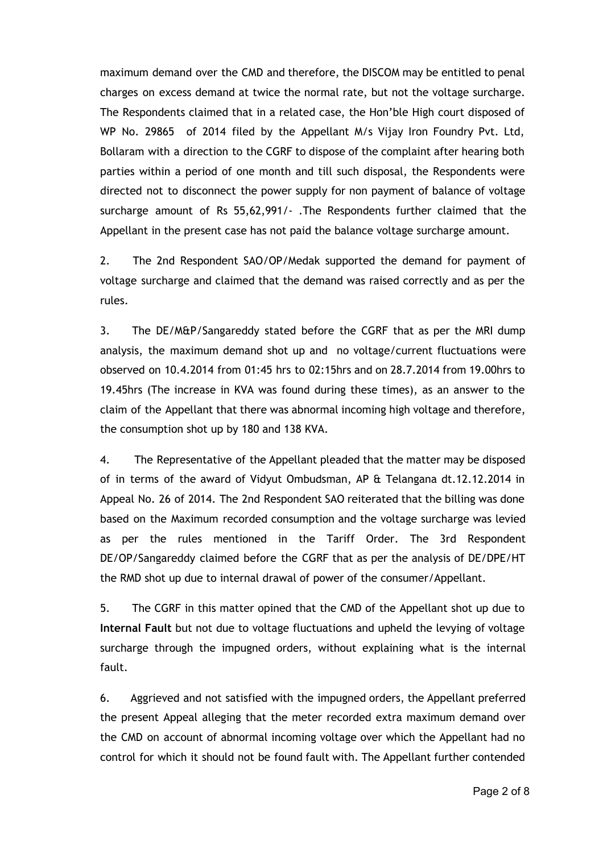maximum demand over the CMD and therefore, the DISCOM may be entitled to penal charges on excess demand at twice the normal rate, but not the voltage surcharge. The Respondents claimed that in a related case, the Hon'ble High court disposed of WP No. 29865 of 2014 filed by the Appellant M/s Vijay Iron Foundry Pvt. Ltd, Bollaram with a direction to the CGRF to dispose of the complaint after hearing both parties within a period of one month and till such disposal, the Respondents were directed not to disconnect the power supply for non payment of balance of voltage surcharge amount of Rs 55,62,991/‐ .The Respondents further claimed that the Appellant in the present case has not paid the balance voltage surcharge amount.

2. The 2nd Respondent SAO/OP/Medak supported the demand for payment of voltage surcharge and claimed that the demand was raised correctly and as per the rules.

3. The DE/M&P/Sangareddy stated before the CGRF that as per the MRI dump analysis, the maximum demand shot up and no voltage/current fluctuations were observed on 10.4.2014 from 01:45 hrs to 02:15hrs and on 28.7.2014 from 19.00hrs to 19.45hrs (The increase in KVA was found during these times), as an answer to the claim of the Appellant that there was abnormal incoming high voltage and therefore, the consumption shot up by 180 and 138 KVA.

4. The Representative of the Appellant pleaded that the matter may be disposed of in terms of the award of Vidyut Ombudsman, AP & Telangana dt.12.12.2014 in Appeal No. 26 of 2014. The 2nd Respondent SAO reiterated that the billing was done based on the Maximum recorded consumption and the voltage surcharge was levied as per the rules mentioned in the Tariff Order. The 3rd Respondent DE/OP/Sangareddy claimed before the CGRF that as per the analysis of DE/DPE/HT the RMD shot up due to internal drawal of power of the consumer/Appellant.

5. The CGRF in this matter opined that the CMD of the Appellant shot up due to **Internal Fault** but not due to voltage fluctuations and upheld the levying of voltage surcharge through the impugned orders, without explaining what is the internal fault.

6. Aggrieved and not satisfied with the impugned orders, the Appellant preferred the present Appeal alleging that the meter recorded extra maximum demand over the CMD on account of abnormal incoming voltage over which the Appellant had no control for which it should not be found fault with. The Appellant further contended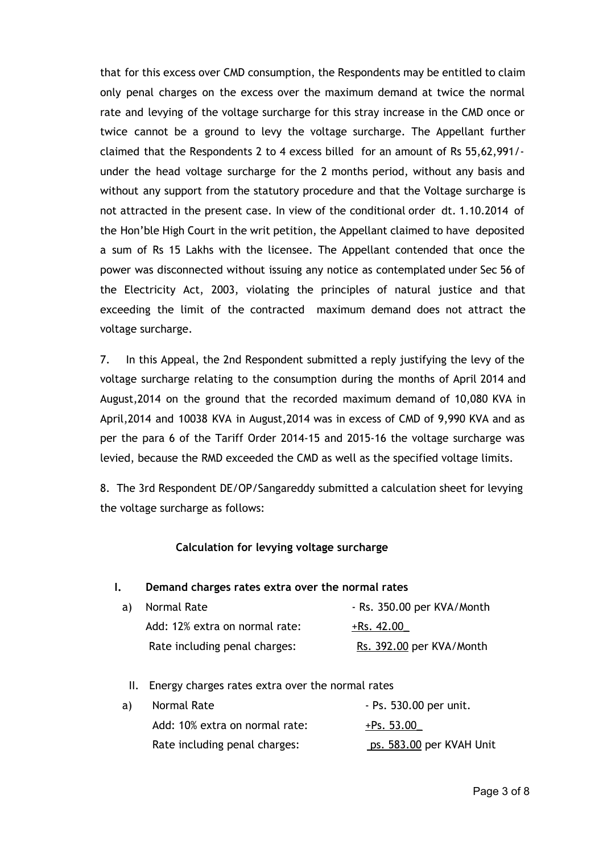that for this excess over CMD consumption, the Respondents may be entitled to claim only penal charges on the excess over the maximum demand at twice the normal rate and levying of the voltage surcharge for this stray increase in the CMD once or twice cannot be a ground to levy the voltage surcharge. The Appellant further claimed that the Respondents 2 to 4 excess billed for an amount of Rs 55,62,991/‐ under the head voltage surcharge for the 2 months period, without any basis and without any support from the statutory procedure and that the Voltage surcharge is not attracted in the present case. In view of the conditional order dt. 1.10.2014 of the Hon'ble High Court in the writ petition, the Appellant claimed to have deposited a sum of Rs 15 Lakhs with the licensee. The Appellant contended that once the power was disconnected without issuing any notice as contemplated under Sec 56 of the Electricity Act, 2003, violating the principles of natural justice and that exceeding the limit of the contracted maximum demand does not attract the voltage surcharge.

7. In this Appeal, the 2nd Respondent submitted a reply justifying the levy of the voltage surcharge relating to the consumption during the months of April 2014 and August,2014 on the ground that the recorded maximum demand of 10,080 KVA in April,2014 and 10038 KVA in August,2014 was in excess of CMD of 9,990 KVA and as per the para 6 of the Tariff Order 2014‐15 and 2015‐16 the voltage surcharge was levied, because the RMD exceeded the CMD as well as the specified voltage limits.

8. The 3rd Respondent DE/OP/Sangareddy submitted a calculation sheet for levying the voltage surcharge as follows:

### **Calculation for levying voltage surcharge**

#### **I. Demand charges rates extra over the normal rates**

| a) Normal Rate                 | - Rs. 350.00 per KVA/Month |  |  |
|--------------------------------|----------------------------|--|--|
| Add: 12% extra on normal rate: | $+$ Rs. 42.00              |  |  |
| Rate including penal charges:  | Rs. 392.00 per KVA/Month   |  |  |

### II. Energy charges rates extra over the normal rates

| a) | Normal Rate                    | - Ps. 530.00 per unit.   |
|----|--------------------------------|--------------------------|
|    | Add: 10% extra on normal rate: | $+$ Ps. 53.00            |
|    | Rate including penal charges:  | ps. 583.00 per KVAH Unit |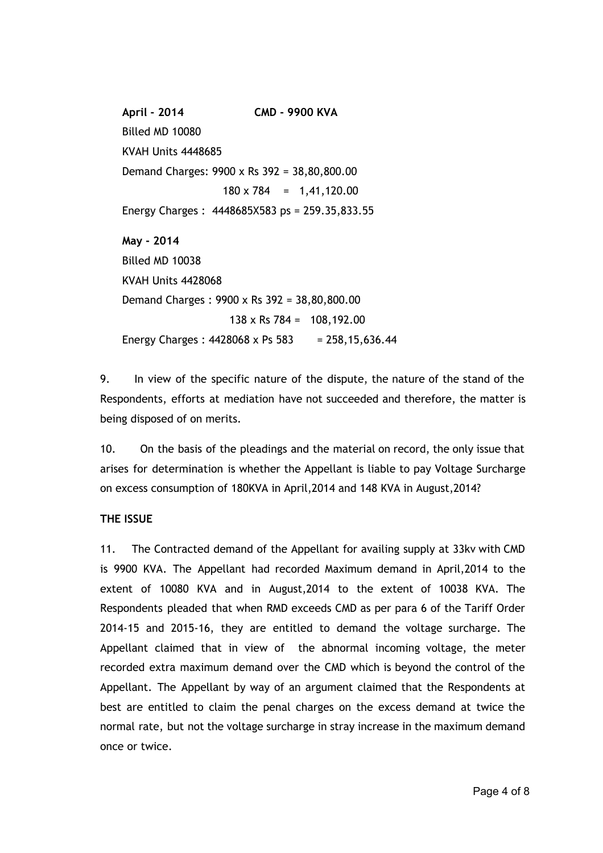**April ‐ 2014 CMD ‐ 9900 KVA** Billed MD 10080 KVAH Units 4448685 Demand Charges: 9900 x Rs 392 = 38,80,800.00  $180 \times 784 = 1,41,120.00$ Energy Charges : 4448685X583 ps = 259.35,833.55 **May ‐ 2014** Billed MD 10038 KVAH Units 4428068 Demand Charges : 9900 x Rs 392 = 38,80,800.00 138 x Rs 784 = 108,192.00 Energy Charges:  $4428068 \times$  Ps 583 = 258,15,636.44

9. In view of the specific nature of the dispute, the nature of the stand of the Respondents, efforts at mediation have not succeeded and therefore, the matter is being disposed of on merits.

10. On the basis of the pleadings and the material on record, the only issue that arises for determination is whether the Appellant is liable to pay Voltage Surcharge on excess consumption of 180KVA in April,2014 and 148 KVA in August,2014?

## **THE ISSUE**

11. The Contracted demand of the Appellant for availing supply at 33kv with CMD is 9900 KVA. The Appellant had recorded Maximum demand in April,2014 to the extent of 10080 KVA and in August,2014 to the extent of 10038 KVA. The Respondents pleaded that when RMD exceeds CMD as per para 6 of the Tariff Order 2014‐15 and 2015‐16, they are entitled to demand the voltage surcharge. The Appellant claimed that in view of the abnormal incoming voltage, the meter recorded extra maximum demand over the CMD which is beyond the control of the Appellant. The Appellant by way of an argument claimed that the Respondents at best are entitled to claim the penal charges on the excess demand at twice the normal rate, but not the voltage surcharge in stray increase in the maximum demand once or twice.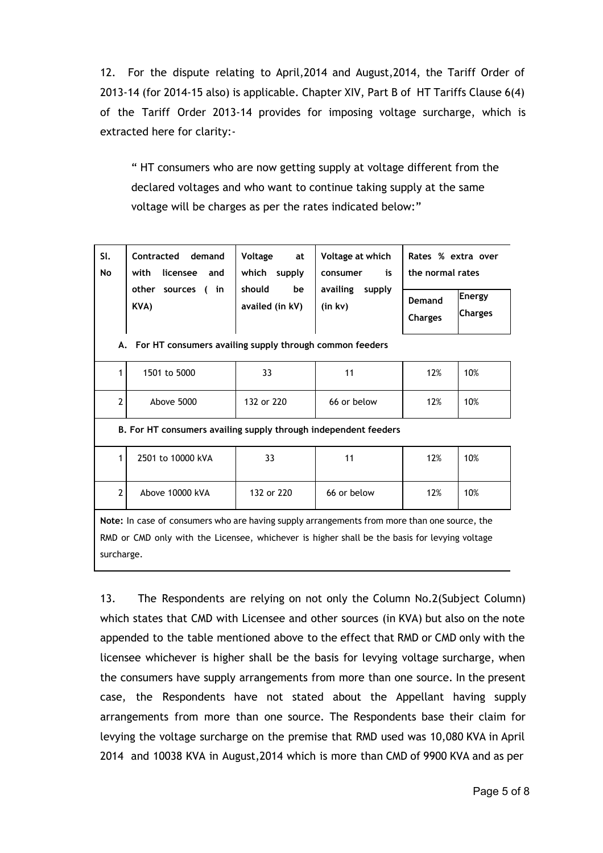12. For the dispute relating to April,2014 and August,2014, the Tariff Order of 2013‐14 (for 2014‐15 also) is applicable. Chapter XIV, Part B of HT Tariffs Clause 6(4) of the Tariff Order 2013-14 provides for imposing voltage surcharge, which is extracted here for clarity:‐

" HT consumers who are now getting supply at voltage different from the declared voltages and who want to continue taking supply at the same voltage will be charges as per the rates indicated below:"

| SI.<br>No | Contracted demand<br>with<br>licensee and | Voltage<br>at<br>which<br>supply | Voltage at which<br>is<br>consumer | Rates % extra over<br>the normal rates                             |
|-----------|-------------------------------------------|----------------------------------|------------------------------------|--------------------------------------------------------------------|
|           | in<br>other<br>sources (<br>KVA)          | should<br>be<br>availed (in kV)  | availing<br>supply<br>(in kv)      | <b>Energy</b><br><b>Demand</b><br><b>Charges</b><br><b>Charges</b> |

**A. For HT consumers availing supply through common feeders**

|                         | 1501 to 5000 | 33         |             | 12% | 10% |
|-------------------------|--------------|------------|-------------|-----|-----|
| $\mathbf{\hat{z}}$<br>∸ | Above 5000   | 132 or 220 | 66 or below | 12% | 10% |

**B. For HT consumers availing supply through independent feeders**

| 2501 to 10000 kVA | 33         |             | 12% | 10% |
|-------------------|------------|-------------|-----|-----|
| Above 10000 kVA   | 132 or 220 | 66 or below | 12% | 10% |

**Note:** In case of consumers who are having supply arrangements from more than one source, the RMD or CMD only with the Licensee, whichever is higher shall be the basis for levying voltage surcharge.

13. The Respondents are relying on not only the Column No.2(Subject Column) which states that CMD with Licensee and other sources (in KVA) but also on the note appended to the table mentioned above to the effect that RMD or CMD only with the licensee whichever is higher shall be the basis for levying voltage surcharge, when the consumers have supply arrangements from more than one source. In the present case, the Respondents have not stated about the Appellant having supply arrangements from more than one source. The Respondents base their claim for levying the voltage surcharge on the premise that RMD used was 10,080 KVA in April 2014 and 10038 KVA in August,2014 which is more than CMD of 9900 KVA and as per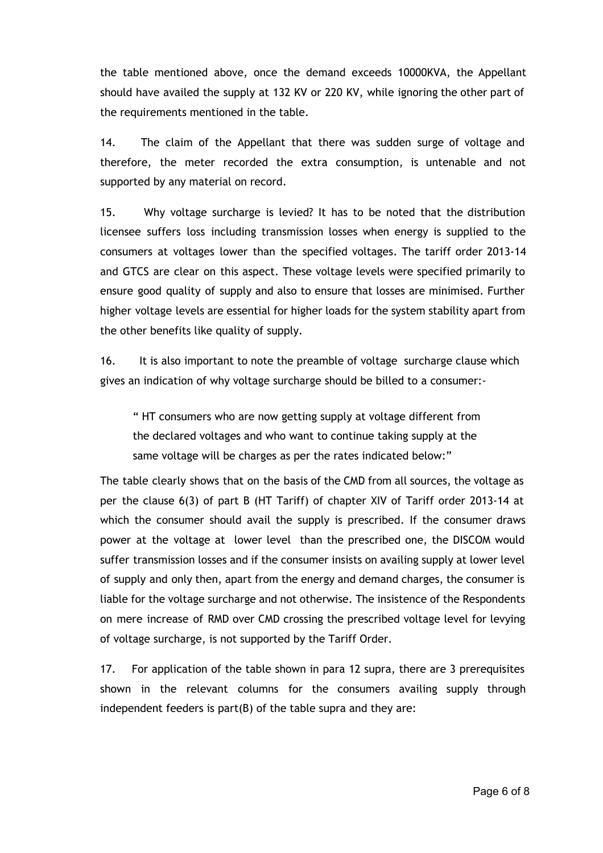the table mentioned above, once the demand exceeds 10000KVA, the Appellant should have availed the supply at 132 KV or 220 KV, while ignoring the other part of the requirements mentioned in the table.

14. The claim of the Appellant that there was sudden surge of voltage and therefore, the meter recorded the extra consumption, is untenable and not supported by any material on record.

15. Why voltage surcharge is levied? It has to be noted that the distribution licensee suffers loss including transmission losses when energy is supplied to the consumers at voltages lower than the specified voltages. The tariff order 2013‐14 and GTCS are clear on this aspect. These voltage levels were specified primarily to ensure good quality of supply and also to ensure that losses are minimised. Further higher voltage levels are essential for higher loads for the system stability apart from the other benefits like quality of supply.

16. It is also important to note the preamble of voltage surcharge clause which gives an indication of why voltage surcharge should be billed to a consumer:‐

" HT consumers who are now getting supply at voltage different from the declared voltages and who want to continue taking supply at the same voltage will be charges as per the rates indicated below:"

The table clearly shows that on the basis of the CMD from all sources, the voltage as per the clause 6(3) of part B (HT Tariff) of chapter XIV of Tariff order 2013‐14 at which the consumer should avail the supply is prescribed. If the consumer draws power at the voltage at lower level than the prescribed one, the DISCOM would suffer transmission losses and if the consumer insists on availing supply at lower level of supply and only then, apart from the energy and demand charges, the consumer is liable for the voltage surcharge and not otherwise. The insistence of the Respondents on mere increase of RMD over CMD crossing the prescribed voltage level for levying of voltage surcharge, is not supported by the Tariff Order.

17. For application of the table shown in para 12 supra, there are 3 prerequisites shown in the relevant columns for the consumers availing supply through independent feeders is part(B) of the table supra and they are: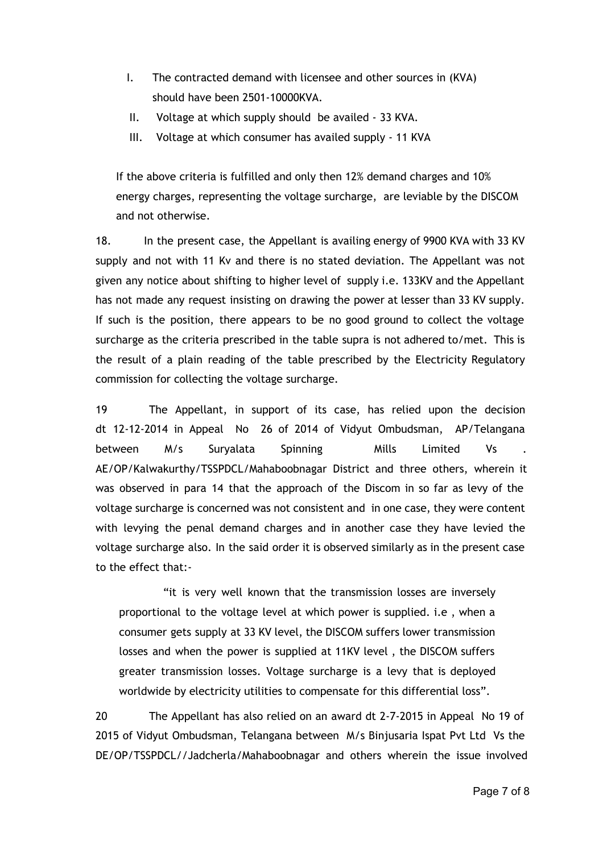- I. The contracted demand with licensee and other sources in (KVA) should have been 2501‐10000KVA.
- II. Voltage at which supply should be availed ‐ 33 KVA.
- III. Voltage at which consumer has availed supply ‐ 11 KVA

If the above criteria is fulfilled and only then 12% demand charges and 10% energy charges, representing the voltage surcharge, are leviable by the DISCOM and not otherwise.

18. In the present case, the Appellant is availing energy of 9900 KVA with 33 KV supply and not with 11 Kv and there is no stated deviation. The Appellant was not given any notice about shifting to higher level of supply i.e. 133KV and the Appellant has not made any request insisting on drawing the power at lesser than 33 KV supply. If such is the position, there appears to be no good ground to collect the voltage surcharge as the criteria prescribed in the table supra is not adhered to/met. This is the result of a plain reading of the table prescribed by the Electricity Regulatory commission for collecting the voltage surcharge.

19 The Appellant, in support of its case, has relied upon the decision dt 12‐12‐2014 in Appeal No 26 of 2014 of Vidyut Ombudsman, AP/Telangana between M/s Suryalata Spinning Mills Limited Vs AE/OP/Kalwakurthy/TSSPDCL/Mahaboobnagar District and three others, wherein it was observed in para 14 that the approach of the Discom in so far as levy of the voltage surcharge is concerned was not consistent and in one case, they were content with levying the penal demand charges and in another case they have levied the voltage surcharge also. In the said order it is observed similarly as in the present case to the effect that:‐

"it is very well known that the transmission losses are inversely proportional to the voltage level at which power is supplied. i.e , when a consumer gets supply at 33 KV level, the DISCOM suffers lower transmission losses and when the power is supplied at 11KV level , the DISCOM suffers greater transmission losses. Voltage surcharge is a levy that is deployed worldwide by electricity utilities to compensate for this differential loss".

20 The Appellant has also relied on an award dt 2-7-2015 in Appeal No 19 of 2015 of Vidyut Ombudsman, Telangana between M/s Binjusaria Ispat Pvt Ltd Vs the DE/OP/TSSPDCL//Jadcherla/Mahaboobnagar and others wherein the issue involved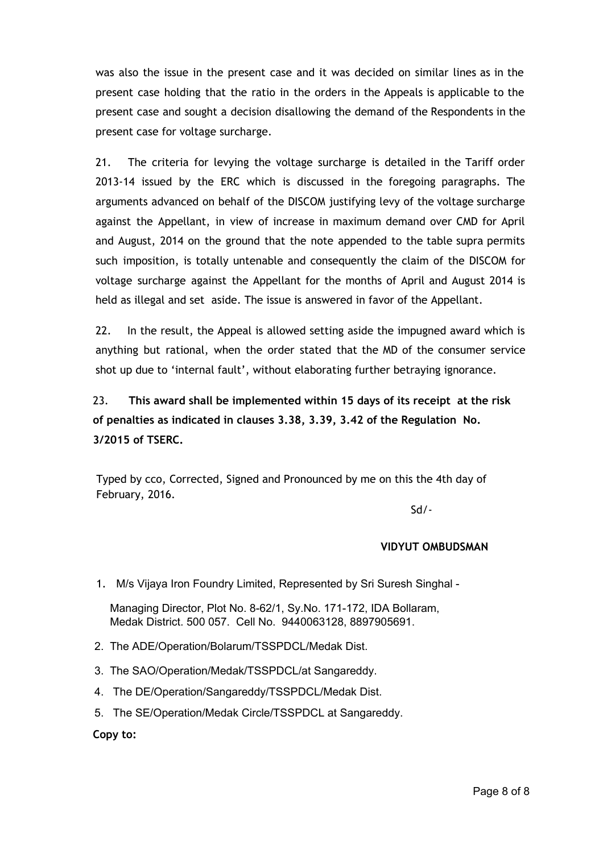was also the issue in the present case and it was decided on similar lines as in the present case holding that the ratio in the orders in the Appeals is applicable to the present case and sought a decision disallowing the demand of the Respondents in the present case for voltage surcharge.

21. The criteria for levying the voltage surcharge is detailed in the Tariff order 2013‐14 issued by the ERC which is discussed in the foregoing paragraphs. The arguments advanced on behalf of the DISCOM justifying levy of the voltage surcharge against the Appellant, in view of increase in maximum demand over CMD for April and August, 2014 on the ground that the note appended to the table supra permits such imposition, is totally untenable and consequently the claim of the DISCOM for voltage surcharge against the Appellant for the months of April and August 2014 is held as illegal and set aside. The issue is answered in favor of the Appellant.

22. In the result, the Appeal is allowed setting aside the impugned award which is anything but rational, when the order stated that the MD of the consumer service shot up due to 'internal fault', without elaborating further betraying ignorance.

23. **This award shall be implemented within 15 days of its receipt at the risk of penalties as indicated in clauses 3.38, 3.39, 3.42 of the Regulation No. 3/2015 of TSERC.**

 Typed by cco, Corrected, Signed and Pronounced by me on this the 4th day of February, 2016.

Sd/‐

## **VIDYUT OMBUDSMAN**

1. M/s Vijaya Iron Foundry Limited, Represented by Sri Suresh Singhal -

Managing Director, Plot No. 8-62/1, Sv.No. 171-172, IDA Bollaram, Medak District. 500 057. Cell No. 9440063128, 8897905691.

- 2. The ADE/Operation/Bolarum/TSSPDCL/Medak Dist.
- 3. The SAO/Operation/Medak/TSSPDCL/at Sangareddy.
- 4. The DE/Operation/Sangareddy/TSSPDCL/Medak Dist.
- 5. The SE/Operation/Medak Circle/TSSPDCL at Sangareddy.

**Copy to:**